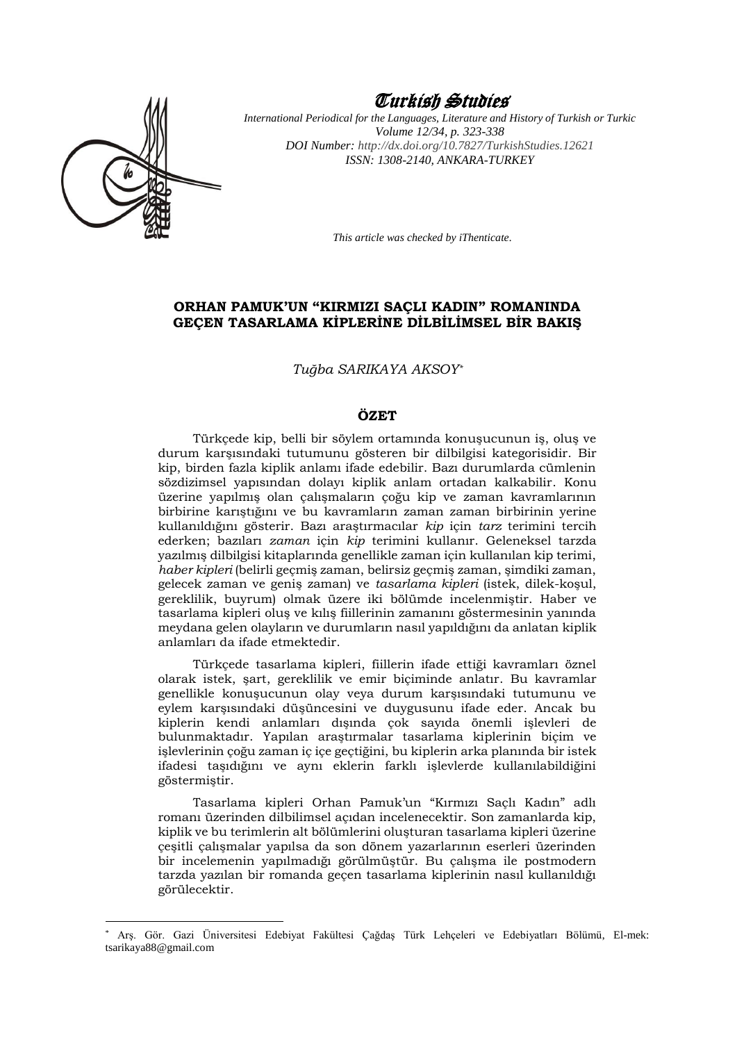

<u>.</u>

# Turkish Studies

*International Periodical for the Languages, Literature and History of Turkish or Turkic Volume 12/34, p. 323-338 DOI Number: [http://dx.doi.org/10.7827/TurkishStudies.1](http://dx.doi.org/10.7827/TurkishStudies.)2621 ISSN: 1308-2140, ANKARA-TURKEY*

*This article was checked by iThenticate.*

### **ORHAN PAMUK'UN "KIRMIZI SAÇLI KADIN" ROMANINDA GEÇEN TASARLAMA KİPLERİNE DİLBİLİMSEL BİR BAKIŞ**

*Tuğba SARIKAYA AKSOY\**

#### **ÖZET**

Türkçede kip, belli bir söylem ortamında konuşucunun iş, oluş ve durum karşısındaki tutumunu gösteren bir dilbilgisi kategorisidir. Bir kip, birden fazla kiplik anlamı ifade edebilir. Bazı durumlarda cümlenin sözdizimsel yapısından dolayı kiplik anlam ortadan kalkabilir. Konu üzerine yapılmış olan çalışmaların çoğu kip ve zaman kavramlarının birbirine karıştığını ve bu kavramların zaman zaman birbirinin yerine kullanıldığını gösterir. Bazı araştırmacılar *kip* için *tarz* terimini tercih ederken; bazıları *zaman* için *kip* terimini kullanır. Geleneksel tarzda yazılmış dilbilgisi kitaplarında genellikle zaman için kullanılan kip terimi, *haber kipleri* (belirli geçmiş zaman, belirsiz geçmiş zaman, şimdiki zaman, gelecek zaman ve geniş zaman) ve *tasarlama kipleri* (istek, dilek-koşul, gereklilik, buyrum) olmak üzere iki bölümde incelenmiştir. Haber ve tasarlama kipleri oluş ve kılış fiillerinin zamanını göstermesinin yanında meydana gelen olayların ve durumların nasıl yapıldığını da anlatan kiplik anlamları da ifade etmektedir.

Türkçede tasarlama kipleri, fiillerin ifade ettiği kavramları öznel olarak istek, şart, gereklilik ve emir biçiminde anlatır. Bu kavramlar genellikle konuşucunun olay veya durum karşısındaki tutumunu ve eylem karşısındaki düşüncesini ve duygusunu ifade eder. Ancak bu kiplerin kendi anlamları dışında çok sayıda önemli işlevleri de bulunmaktadır. Yapılan araştırmalar tasarlama kiplerinin biçim ve işlevlerinin çoğu zaman iç içe geçtiğini, bu kiplerin arka planında bir istek ifadesi taşıdığını ve aynı eklerin farklı işlevlerde kullanılabildiğini göstermiştir.

Tasarlama kipleri Orhan Pamuk'un "Kırmızı Saçlı Kadın" adlı romanı üzerinden dilbilimsel açıdan incelenecektir. Son zamanlarda kip, kiplik ve bu terimlerin alt bölümlerini oluşturan tasarlama kipleri üzerine çeşitli çalışmalar yapılsa da son dönem yazarlarının eserleri üzerinden bir incelemenin yapılmadığı görülmüştür. Bu çalışma ile postmodern tarzda yazılan bir romanda geçen tasarlama kiplerinin nasıl kullanıldığı görülecektir.

<sup>\*</sup> Arş. Gör. Gazi Üniversitesi Edebiyat Fakültesi Çağdaş Türk Lehçeleri ve Edebiyatları Bölümü, El-mek: tsarikaya88@gmail.com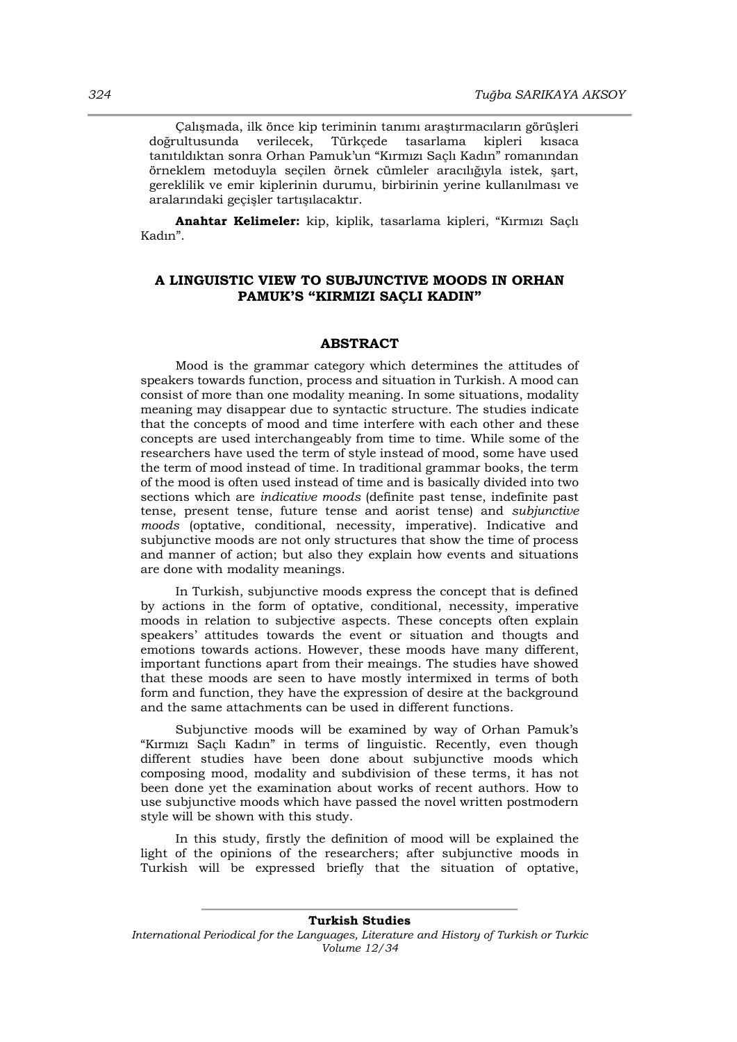Çalışmada, ilk önce kip teriminin tanımı araştırmacıların görüşleri doğrultusunda verilecek, Türkçede tasarlama kipleri kısaca tanıtıldıktan sonra Orhan Pamuk'un "Kırmızı Saçlı Kadın" romanından örneklem metoduyla seçilen örnek cümleler aracılığıyla istek, şart, gereklilik ve emir kiplerinin durumu, birbirinin yerine kullanılması ve aralarındaki geçişler tartışılacaktır.

**Anahtar Kelimeler:** kip, kiplik, tasarlama kipleri, "Kırmızı Saçlı Kadın".

## **A LINGUISTIC VIEW TO SUBJUNCTIVE MOODS IN ORHAN PAMUK'S "KIRMIZI SAÇLI KADIN"**

#### **ABSTRACT**

Mood is the grammar category which determines the attitudes of speakers towards function, process and situation in Turkish. A mood can consist of more than one modality meaning. In some situations, modality meaning may disappear due to syntactic structure. The studies indicate that the concepts of mood and time interfere with each other and these concepts are used interchangeably from time to time. While some of the researchers have used the term of style instead of mood, some have used the term of mood instead of time. In traditional grammar books, the term of the mood is often used instead of time and is basically divided into two sections which are *indicative moods* (definite past tense, indefinite past tense, present tense, future tense and aorist tense) and *subjunctive moods* (optative, conditional, necessity, imperative). Indicative and subjunctive moods are not only structures that show the time of process and manner of action; but also they explain how events and situations are done with modality meanings.

In Turkish, subjunctive moods express the concept that is defined by actions in the form of optative, conditional, necessity, imperative moods in relation to subjective aspects. These concepts often explain speakers' attitudes towards the event or situation and thougts and emotions towards actions. However, these moods have many different, important functions apart from their meaings. The studies have showed that these moods are seen to have mostly intermixed in terms of both form and function, they have the expression of desire at the background and the same attachments can be used in different functions.

Subjunctive moods will be examined by way of Orhan Pamuk's "Kırmızı Saçlı Kadın" in terms of linguistic. Recently, even though different studies have been done about subjunctive moods which composing mood, modality and subdivision of these terms, it has not been done yet the examination about works of recent authors. How to use subjunctive moods which have passed the novel written postmodern style will be shown with this study.

In this study, firstly the definition of mood will be explained the light of the opinions of the researchers; after subjunctive moods in Turkish will be expressed briefly that the situation of optative,

**Turkish Studies** *International Periodical for the Languages, Literature and History of Turkish or Turkic Volume 12/34*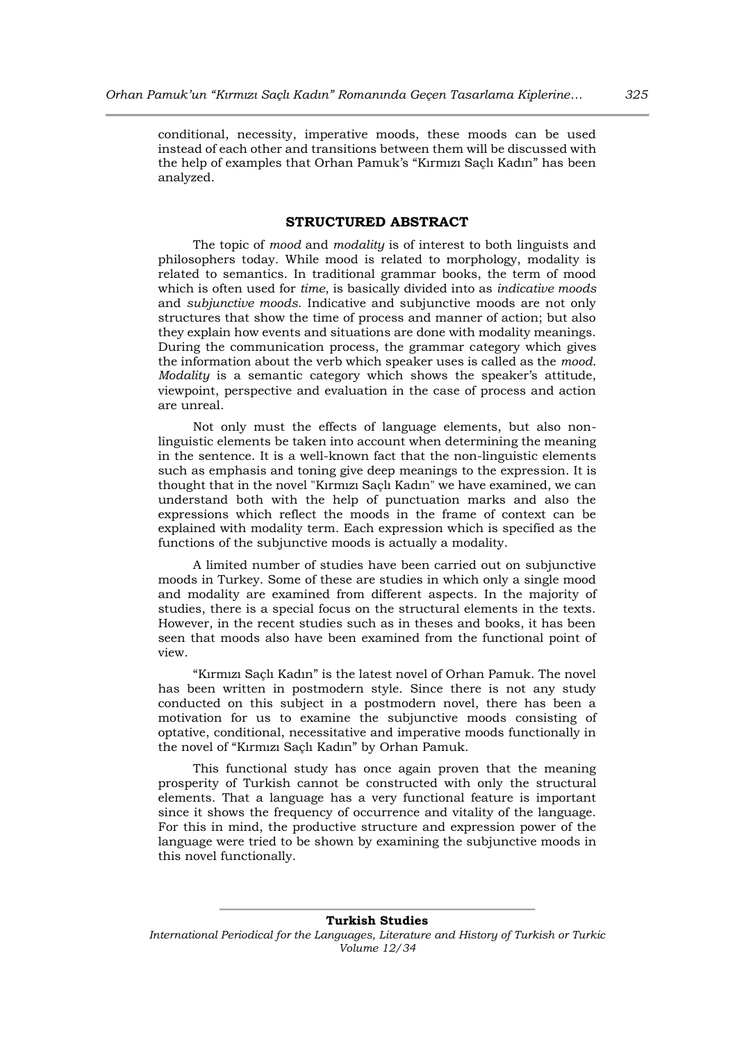conditional, necessity, imperative moods, these moods can be used instead of each other and transitions between them will be discussed with the help of examples that Orhan Pamuk's "Kırmızı Saçlı Kadın" has been analyzed.

#### **STRUCTURED ABSTRACT**

The topic of *mood* and *modality* is of interest to both linguists and philosophers today. While mood is related to morphology, modality is related to semantics. In traditional grammar books, the term of mood which is often used for *time*, is basically divided into as *indicative moods* and *subjunctive moods*. Indicative and subjunctive moods are not only structures that show the time of process and manner of action; but also they explain how events and situations are done with modality meanings. During the communication process, the grammar category which gives the information about the verb which speaker uses is called as the *mood*. *Modality* is a semantic category which shows the speaker's attitude, viewpoint, perspective and evaluation in the case of process and action are unreal.

Not only must the effects of language elements, but also nonlinguistic elements be taken into account when determining the meaning in the sentence. It is a well-known fact that the non-linguistic elements such as emphasis and toning give deep meanings to the expression. It is thought that in the novel "Kırmızı Saçlı Kadın" we have examined, we can understand both with the help of punctuation marks and also the expressions which reflect the moods in the frame of context can be explained with modality term. Each expression which is specified as the functions of the subjunctive moods is actually a modality.

A limited number of studies have been carried out on subjunctive moods in Turkey. Some of these are studies in which only a single mood and modality are examined from different aspects. In the majority of studies, there is a special focus on the structural elements in the texts. However, in the recent studies such as in theses and books, it has been seen that moods also have been examined from the functional point of view.

"Kırmızı Saçlı Kadın" is the latest novel of Orhan Pamuk. The novel has been written in postmodern style. Since there is not any study conducted on this subject in a postmodern novel, there has been a motivation for us to examine the subjunctive moods consisting of optative, conditional, necessitative and imperative moods functionally in the novel of "Kırmızı Saçlı Kadın" by Orhan Pamuk.

This functional study has once again proven that the meaning prosperity of Turkish cannot be constructed with only the structural elements. That a language has a very functional feature is important since it shows the frequency of occurrence and vitality of the language. For this in mind, the productive structure and expression power of the language were tried to be shown by examining the subjunctive moods in this novel functionally.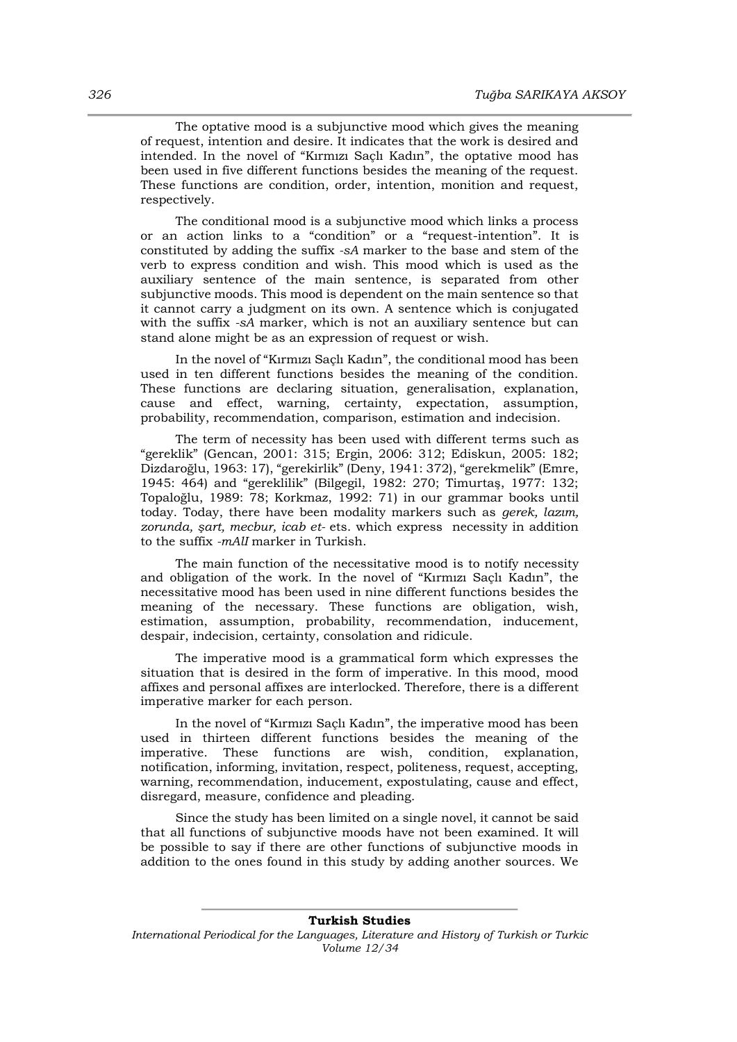The optative mood is a subjunctive mood which gives the meaning of request, intention and desire. It indicates that the work is desired and intended. In the novel of "Kırmızı Saçlı Kadın", the optative mood has been used in five different functions besides the meaning of the request. These functions are condition, order, intention, monition and request, respectively.

The conditional mood is a subjunctive mood which links a process or an action links to a "condition" or a "request-intention". It is constituted by adding the suffix *-sA* marker to the base and stem of the verb to express condition and wish. This mood which is used as the auxiliary sentence of the main sentence, is separated from other subjunctive moods. This mood is dependent on the main sentence so that it cannot carry a judgment on its own. A sentence which is conjugated with the suffix *-sA* marker, which is not an auxiliary sentence but can stand alone might be as an expression of request or wish.

In the novel of "Kırmızı Saçlı Kadın", the conditional mood has been used in ten different functions besides the meaning of the condition. These functions are declaring situation, generalisation, explanation, cause and effect, warning, certainty, expectation, assumption, probability, recommendation, comparison, estimation and indecision.

The term of necessity has been used with different terms such as "gereklik" (Gencan, 2001: 315; Ergin, 2006: 312; Ediskun, 2005: 182; Dizdaroğlu, 1963: 17), "gerekirlik" (Deny, 1941: 372), "gerekmelik" (Emre, 1945: 464) and "gereklilik" (Bilgegil, 1982: 270; Timurtaş, 1977: 132; Topaloğlu, 1989: 78; Korkmaz, 1992: 71) in our grammar books until today. Today, there have been modality markers such as *gerek, lazım, zorunda, şart, mecbur, icab et-* ets. which express necessity in addition to the suffix *-mAlI* marker in Turkish.

The main function of the necessitative mood is to notify necessity and obligation of the work. In the novel of "Kırmızı Saçlı Kadın", the necessitative mood has been used in nine different functions besides the meaning of the necessary. These functions are obligation, wish, estimation, assumption, probability, recommendation, inducement, despair, indecision, certainty, consolation and ridicule.

The imperative mood is a grammatical form which expresses the situation that is desired in the form of imperative. In this mood, mood affixes and personal affixes are interlocked. Therefore, there is a different imperative marker for each person.

In the novel of "Kırmızı Saçlı Kadın", the imperative mood has been used in thirteen different functions besides the meaning of the imperative. These functions are wish, condition, explanation, notification, informing, invitation, respect, politeness, request, accepting, warning, recommendation, inducement, expostulating, cause and effect, disregard, measure, confidence and pleading.

Since the study has been limited on a single novel, it cannot be said that all functions of subjunctive moods have not been examined. It will be possible to say if there are other functions of subjunctive moods in addition to the ones found in this study by adding another sources. We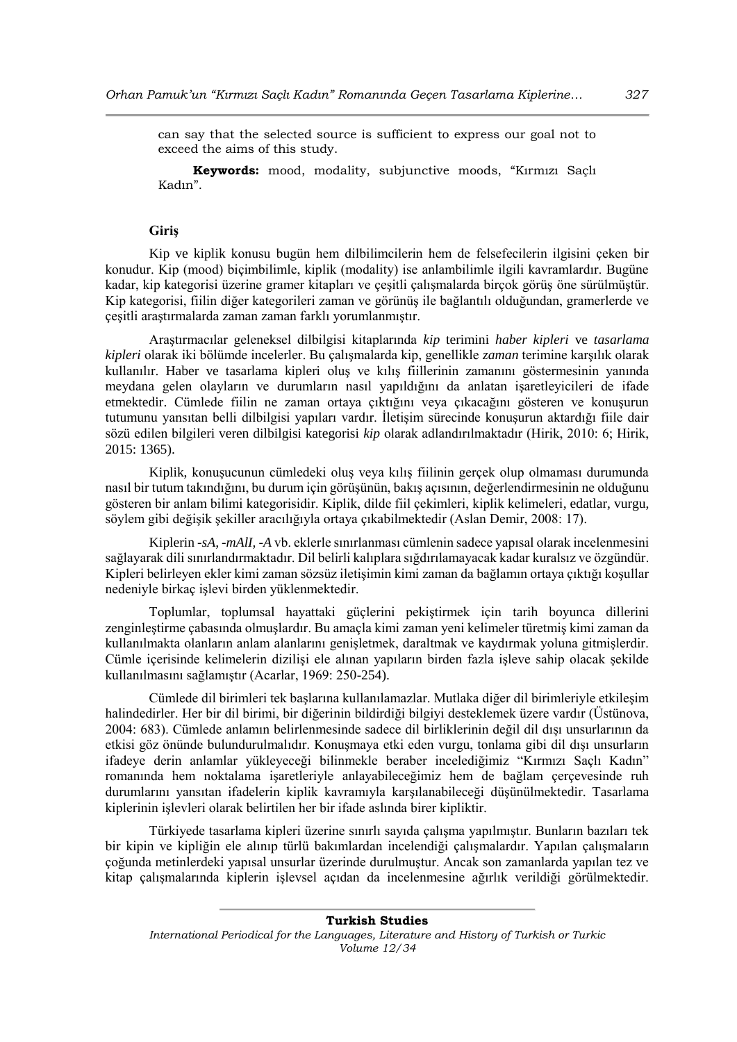can say that the selected source is sufficient to express our goal not to exceed the aims of this study.

**Keywords:** mood, modality, subjunctive moods, "Kırmızı Saçlı Kadın".

#### **Giriş**

Kip ve kiplik konusu bugün hem dilbilimcilerin hem de felsefecilerin ilgisini çeken bir konudur. Kip (mood) biçimbilimle, kiplik (modality) ise anlambilimle ilgili kavramlardır. Bugüne kadar, kip kategorisi üzerine gramer kitapları ve çeşitli çalışmalarda birçok görüş öne sürülmüştür. Kip kategorisi, fiilin diğer kategorileri zaman ve görünüş ile bağlantılı olduğundan, gramerlerde ve çeşitli araştırmalarda zaman zaman farklı yorumlanmıştır.

Araştırmacılar geleneksel dilbilgisi kitaplarında *kip* terimini *haber kipleri* ve *tasarlama kipleri* olarak iki bölümde incelerler. Bu çalışmalarda kip, genellikle *zaman* terimine karşılık olarak kullanılır. Haber ve tasarlama kipleri oluş ve kılış fiillerinin zamanını göstermesinin yanında meydana gelen olayların ve durumların nasıl yapıldığını da anlatan işaretleyicileri de ifade etmektedir. Cümlede fiilin ne zaman ortaya çıktığını veya çıkacağını gösteren ve konuşurun tutumunu yansıtan belli dilbilgisi yapıları vardır. İletişim sürecinde konuşurun aktardığı fiile dair sözü edilen bilgileri veren dilbilgisi kategorisi *kip* olarak adlandırılmaktadır (Hirik, 2010: 6; Hirik, 2015: 1365).

Kiplik, konuşucunun cümledeki oluş veya kılış fiilinin gerçek olup olmaması durumunda nasıl bir tutum takındığını, bu durum için görüşünün, bakış açısının, değerlendirmesinin ne olduğunu gösteren bir anlam bilimi kategorisidir. Kiplik, dilde fiil çekimleri, kiplik kelimeleri, edatlar, vurgu, söylem gibi değişik şekiller aracılığıyla ortaya çıkabilmektedir (Aslan Demir, 2008: 17).

Kiplerin *-sA, -mAlI, -A* vb. eklerle sınırlanması cümlenin sadece yapısal olarak incelenmesini sağlayarak dili sınırlandırmaktadır. Dil belirli kalıplara sığdırılamayacak kadar kuralsız ve özgündür. Kipleri belirleyen ekler kimi zaman sözsüz iletişimin kimi zaman da bağlamın ortaya çıktığı koşullar nedeniyle birkaç işlevi birden yüklenmektedir.

Toplumlar, toplumsal hayattaki güçlerini pekiştirmek için tarih boyunca dillerini zenginleştirme çabasında olmuşlardır. Bu amaçla kimi zaman yeni kelimeler türetmiş kimi zaman da kullanılmakta olanların anlam alanlarını genişletmek, daraltmak ve kaydırmak yoluna gitmişlerdir. Cümle içerisinde kelimelerin dizilişi ele alınan yapıların birden fazla işleve sahip olacak şekilde kullanılmasını sağlamıştır (Acarlar, 1969: 250-254).

Cümlede dil birimleri tek başlarına kullanılamazlar. Mutlaka diğer dil birimleriyle etkileşim halindedirler. Her bir dil birimi, bir diğerinin bildirdiği bilgiyi desteklemek üzere vardır (Üstünova, 2004: 683). Cümlede anlamın belirlenmesinde sadece dil birliklerinin değil dil dışı unsurlarının da etkisi göz önünde bulundurulmalıdır. Konuşmaya etki eden vurgu, tonlama gibi dil dışı unsurların ifadeye derin anlamlar yükleyeceği bilinmekle beraber incelediğimiz "Kırmızı Saçlı Kadın" romanında hem noktalama işaretleriyle anlayabileceğimiz hem de bağlam çerçevesinde ruh durumlarını yansıtan ifadelerin kiplik kavramıyla karşılanabileceği düşünülmektedir. Tasarlama kiplerinin işlevleri olarak belirtilen her bir ifade aslında birer kipliktir.

Türkiyede tasarlama kipleri üzerine sınırlı sayıda çalışma yapılmıştır. Bunların bazıları tek bir kipin ve kipliğin ele alınıp türlü bakımlardan incelendiği çalışmalardır. Yapılan çalışmaların çoğunda metinlerdeki yapısal unsurlar üzerinde durulmuştur. Ancak son zamanlarda yapılan tez ve kitap çalışmalarında kiplerin işlevsel açıdan da incelenmesine ağırlık verildiği görülmektedir.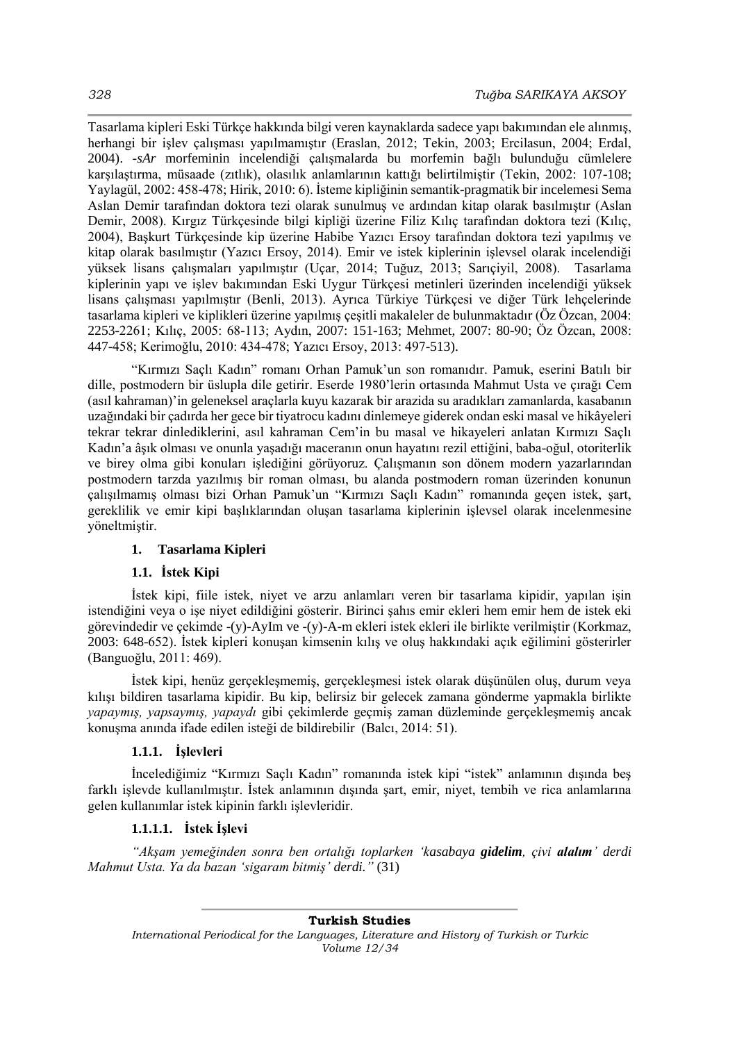Tasarlama kipleri Eski Türkçe hakkında bilgi veren kaynaklarda sadece yapı bakımından ele alınmış, herhangi bir işlev çalışması yapılmamıştır (Eraslan, 2012; Tekin, 2003; Ercilasun, 2004; Erdal, 2004). *-sAr* morfeminin incelendiği çalışmalarda bu morfemin bağlı bulunduğu cümlelere karşılaştırma, müsaade (zıtlık), olasılık anlamlarının kattığı belirtilmiştir (Tekin, 2002: 107-108; Yaylagül, 2002: 458-478; Hirik, 2010: 6). İsteme kipliğinin semantik-pragmatik bir incelemesi Sema Aslan Demir tarafından doktora tezi olarak sunulmuş ve ardından kitap olarak basılmıştır (Aslan Demir, 2008). Kırgız Türkçesinde bilgi kipliği üzerine Filiz Kılıç tarafından doktora tezi (Kılıç, 2004), Başkurt Türkçesinde kip üzerine Habibe Yazıcı Ersoy tarafından doktora tezi yapılmış ve kitap olarak basılmıştır (Yazıcı Ersoy, 2014). Emir ve istek kiplerinin işlevsel olarak incelendiği yüksek lisans çalışmaları yapılmıştır (Uçar, 2014; Tuğuz, 2013; Sarıçiyil, 2008). Tasarlama kiplerinin yapı ve işlev bakımından Eski Uygur Türkçesi metinleri üzerinden incelendiği yüksek lisans çalışması yapılmıştır (Benli, 2013). Ayrıca Türkiye Türkçesi ve diğer Türk lehçelerinde tasarlama kipleri ve kiplikleri üzerine yapılmış çeşitli makaleler de bulunmaktadır (Öz Özcan, 2004: 2253-2261; Kılıç, 2005: 68-113; Aydın, 2007: 151-163; Mehmet, 2007: 80-90; Öz Özcan, 2008: 447-458; Kerimoğlu, 2010: 434-478; Yazıcı Ersoy, 2013: 497-513).

"Kırmızı Saçlı Kadın" romanı Orhan Pamuk'un son romanıdır. Pamuk, eserini Batılı bir dille, postmodern bir üslupla dile getirir. Eserde 1980'lerin ortasında Mahmut Usta ve çırağı Cem (asıl kahraman)'in geleneksel araçlarla kuyu kazarak bir arazida su aradıkları zamanlarda, kasabanın uzağındaki bir çadırda her gece bir tiyatrocu kadını dinlemeye giderek ondan eski masal ve hikâyeleri tekrar tekrar dinlediklerini, asıl kahraman Cem'in bu masal ve hikayeleri anlatan Kırmızı Saçlı Kadın'a âşık olması ve onunla yaşadığı maceranın onun hayatını rezil ettiğini, baba-oğul, otoriterlik ve birey olma gibi konuları işlediğini görüyoruz. Çalışmanın son dönem modern yazarlarından postmodern tarzda yazılmış bir roman olması, bu alanda postmodern roman üzerinden konunun çalışılmamış olması bizi Orhan Pamuk'un "Kırmızı Saçlı Kadın" romanında geçen istek, şart, gereklilik ve emir kipi başlıklarından oluşan tasarlama kiplerinin işlevsel olarak incelenmesine yöneltmiştir.

## **1. Tasarlama Kipleri**

## **1.1. İstek Kipi**

İstek kipi, fiile istek, niyet ve arzu anlamları veren bir tasarlama kipidir, yapılan işin istendiğini veya o işe niyet edildiğini gösterir. Birinci şahıs emir ekleri hem emir hem de istek eki görevindedir ve çekimde -(y)-AyIm ve -(y)-A-m ekleri istek ekleri ile birlikte verilmiştir (Korkmaz, 2003: 648-652). İstek kipleri konuşan kimsenin kılış ve oluş hakkındaki açık eğilimini gösterirler (Banguoğlu, 2011: 469).

İstek kipi, henüz gerçekleşmemiş, gerçekleşmesi istek olarak düşünülen oluş, durum veya kılışı bildiren tasarlama kipidir. Bu kip, belirsiz bir gelecek zamana gönderme yapmakla birlikte *yapaymış, yapsaymış, yapaydı* gibi çekimlerde geçmiş zaman düzleminde gerçekleşmemiş ancak konuşma anında ifade edilen isteği de bildirebilir (Balcı, 2014: 51).

## **1.1.1. İşlevleri**

İncelediğimiz "Kırmızı Saçlı Kadın" romanında istek kipi "istek" anlamının dışında beş farklı işlevde kullanılmıştır. İstek anlamının dışında şart, emir, niyet, tembih ve rica anlamlarına gelen kullanımlar istek kipinin farklı işlevleridir.

## **1.1.1.1. İstek İşlevi**

*"Akşam yemeğinden sonra ben ortalığı toplarken 'kasabaya gidelim, çivi alalım' derdi Mahmut Usta. Ya da bazan 'sigaram bitmiş' derdi."* (31)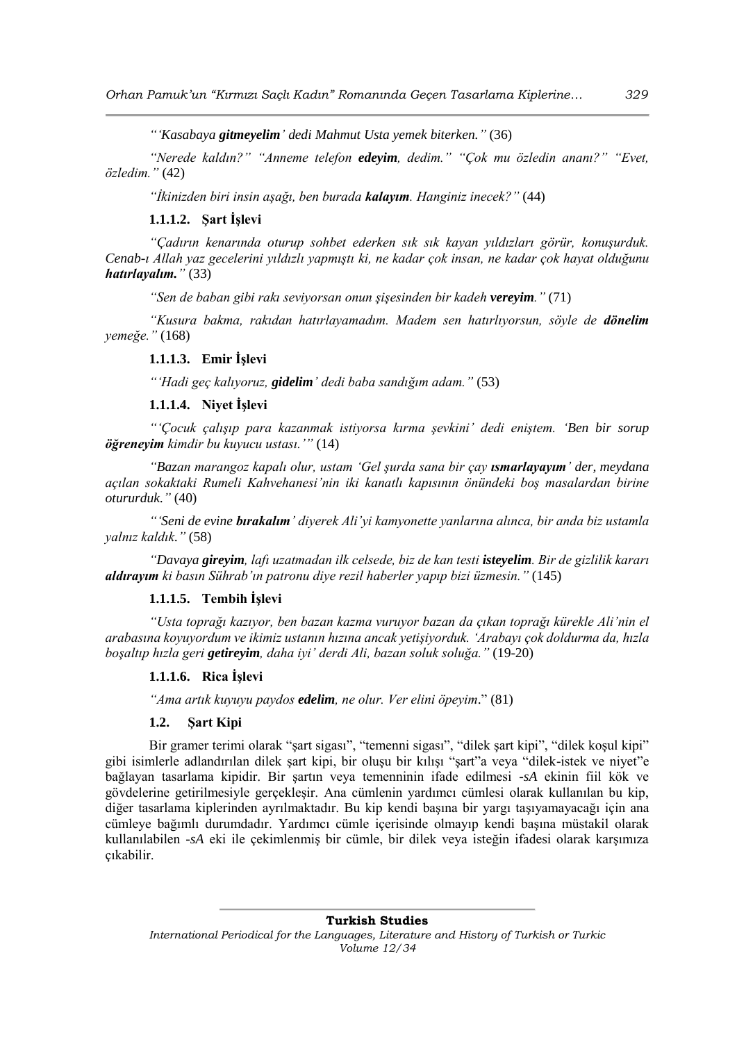*"'Kasabaya gitmeyelim' dedi Mahmut Usta yemek biterken."* (36)

*"Nerede kaldın?" "Anneme telefon edeyim, dedim." "Çok mu özledin ananı?" "Evet, özledim."* (42)

*"İkinizden biri insin aşağı, ben burada kalayım. Hanginiz inecek?"* (44)

## **1.1.1.2. Şart İşlevi**

*"Çadırın kenarında oturup sohbet ederken sık sık kayan yıldızları görür, konuşurduk. Cenab-ı Allah yaz gecelerini yıldızlı yapmıştı ki, ne kadar çok insan, ne kadar çok hayat olduğunu hatırlayalım."* (33)

*"Sen de baban gibi rakı seviyorsan onun şişesinden bir kadeh vereyim."* (71)

*"Kusura bakma, rakıdan hatırlayamadım. Madem sen hatırlıyorsun, söyle de dönelim yemeğe."* (168)

#### **1.1.1.3. Emir İşlevi**

*"'Hadi geç kalıyoruz, gidelim' dedi baba sandığım adam."* (53)

## **1.1.1.4. Niyet İşlevi**

*"'Çocuk çalışıp para kazanmak istiyorsa kırma şevkini' dedi eniştem. 'Ben bir sorup öğreneyim kimdir bu kuyucu ustası.'"* (14)

*"Bazan marangoz kapalı olur, ustam 'Gel şurda sana bir çay ısmarlayayım' der, meydana açılan sokaktaki Rumeli Kahvehanesi'nin iki kanatlı kapısının önündeki boş masalardan birine otururduk."* (40)

*"'Seni de evine bırakalım' diyerek Ali'yi kamyonette yanlarına alınca, bir anda biz ustamla yalnız kaldık."* (58)

*"Davaya gireyim, lafı uzatmadan ilk celsede, biz de kan testi isteyelim. Bir de gizlilik kararı aldırayım ki basın Sührab'ın patronu diye rezil haberler yapıp bizi üzmesin."* (145)

### **1.1.1.5. Tembih İşlevi**

*"Usta toprağı kazıyor, ben bazan kazma vuruyor bazan da çıkan toprağı kürekle Ali'nin el arabasına koyuyordum ve ikimiz ustanın hızına ancak yetişiyorduk. 'Arabayı çok doldurma da, hızla boşaltıp hızla geri getireyim, daha iyi' derdi Ali, bazan soluk soluğa."* (19-20)

### **1.1.1.6. Rica İşlevi**

*"Ama artık kuyuyu paydos edelim, ne olur. Ver elini öpeyim*." (81)

#### **1.2. Şart Kipi**

Bir gramer terimi olarak "sart sigası", "temenni sigası", "dilek şart kipi", "dilek koşul kipi" gibi isimlerle adlandırılan dilek şart kipi, bir oluşu bir kılışı "şart"a veya "dilek-istek ve niyet"e bağlayan tasarlama kipidir. Bir şartın veya temenninin ifade edilmesi *-sA* ekinin fiil kök ve gövdelerine getirilmesiyle gerçekleşir. Ana cümlenin yardımcı cümlesi olarak kullanılan bu kip, diğer tasarlama kiplerinden ayrılmaktadır. Bu kip kendi başına bir yargı taşıyamayacağı için ana cümleye bağımlı durumdadır. Yardımcı cümle içerisinde olmayıp kendi başına müstakil olarak kullanılabilen *-sA* eki ile çekimlenmiş bir cümle, bir dilek veya isteğin ifadesi olarak karşımıza çıkabilir.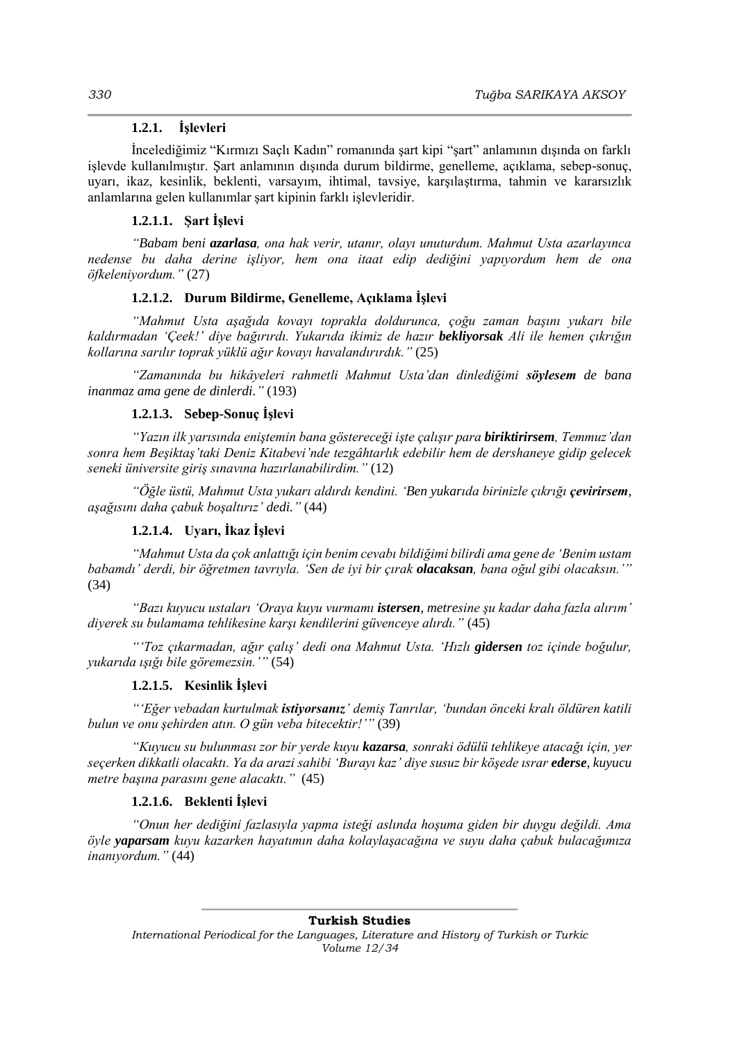#### **1.2.1. İşlevleri**

İncelediğimiz "Kırmızı Saçlı Kadın" romanında şart kipi "şart" anlamının dışında on farklı işlevde kullanılmıştır. Şart anlamının dışında durum bildirme, genelleme, açıklama, sebep-sonuç, uyarı, ikaz, kesinlik, beklenti, varsayım, ihtimal, tavsiye, karşılaştırma, tahmin ve kararsızlık anlamlarına gelen kullanımlar şart kipinin farklı işlevleridir.

#### **1.2.1.1. Şart İşlevi**

*"Babam beni azarlasa, ona hak verir, utanır, olayı unuturdum. Mahmut Usta azarlayınca nedense bu daha derine işliyor, hem ona itaat edip dediğini yapıyordum hem de ona öfkeleniyordum."* (27)

### **1.2.1.2. Durum Bildirme, Genelleme, Açıklama İşlevi**

*"Mahmut Usta aşağıda kovayı toprakla doldurunca, çoğu zaman başını yukarı bile kaldırmadan 'Çeek!' diye bağırırdı. Yukarıda ikimiz de hazır bekliyorsak Ali ile hemen çıkrığın kollarına sarılır toprak yüklü ağır kovayı havalandırırdık."* (25)

*"Zamanında bu hikâyeleri rahmetli Mahmut Usta'dan dinlediğimi söylesem de bana inanmaz ama gene de dinlerdi."* (193)

## **1.2.1.3. Sebep-Sonuç İşlevi**

*"Yazın ilk yarısında eniştemin bana göstereceği işte çalışır para biriktirirsem, Temmuz'dan sonra hem Beşiktaş'taki Deniz Kitabevi'nde tezgâhtarlık edebilir hem de dershaneye gidip gelecek seneki üniversite giriş sınavına hazırlanabilirdim."* (12)

"Öğle üstü, Mahmut Usta yukarı aldırdı kendini. 'Ben yukarıda birinizle çıkrığı çevirirsem, *aşağısını daha çabuk boşaltırız' dedi."* (44)

#### **1.2.1.4. Uyarı, İkaz İşlevi**

*"Mahmut Usta da çok anlattığı için benim cevabı bildiğimi bilirdi ama gene de 'Benim ustam babamdı' derdi, bir öğretmen tavrıyla. 'Sen de iyi bir çırak olacaksan, bana oğul gibi olacaksın.'"* (34)

*"Bazı kuyucu ustaları 'Oraya kuyu vurmamı istersen, metresine şu kadar daha fazla alırım' diyerek su bulamama tehlikesine karşı kendilerini güvenceye alırdı."* (45)

*"'Toz çıkarmadan, ağır çalış' dedi ona Mahmut Usta. 'Hızlı gidersen toz içinde boğulur, yukarıda ışığı bile göremezsin.'"* (54)

#### **1.2.1.5. Kesinlik İşlevi**

*"'Eğer vebadan kurtulmak istiyorsanız' demiş Tanrılar, 'bundan önceki kralı öldüren katili bulun ve onu şehirden atın. O gün veba bitecektir!'"* (39)

*"Kuyucu su bulunması zor bir yerde kuyu kazarsa, sonraki ödülü tehlikeye atacağı için, yer seçerken dikkatli olacaktı. Ya da arazi sahibi 'Burayı kaz' diye susuz bir köşede ısrar ederse, kuyucu metre başına parasını gene alacaktı."* (45)

#### **1.2.1.6. Beklenti İşlevi**

*"Onun her dediğini fazlasıyla yapma isteği aslında hoşuma giden bir duygu değildi. Ama öyle yaparsam kuyu kazarken hayatımın daha kolaylaşacağına ve suyu daha çabuk bulacağımıza inanıyordum."* (44)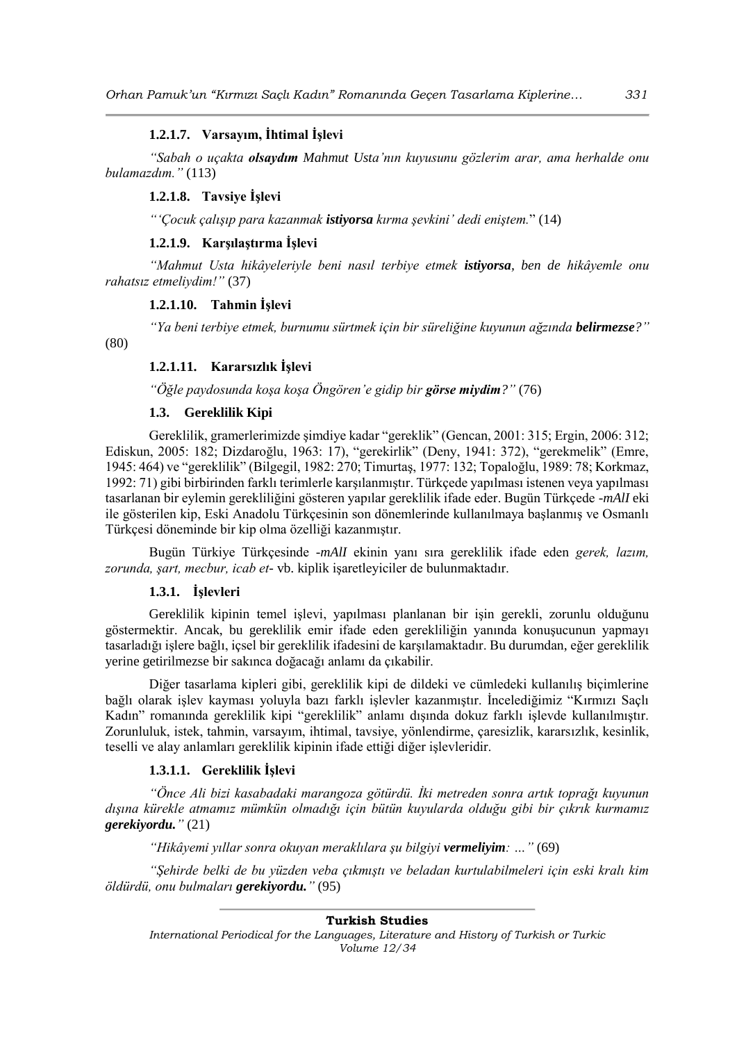## **1.2.1.7. Varsayım, İhtimal İşlevi**

*"Sabah o uçakta olsaydım Mahmut Usta'nın kuyusunu gözlerim arar, ama herhalde onu bulamazdım."* (113)

## **1.2.1.8. Tavsiye İşlevi**

*"'Çocuk çalışıp para kazanmak istiyorsa kırma şevkini' dedi eniştem.*" (14)

## **1.2.1.9. Karşılaştırma İşlevi**

*"Mahmut Usta hikâyeleriyle beni nasıl terbiye etmek istiyorsa, ben de hikâyemle onu rahatsız etmeliydim!"* (37)

### **1.2.1.10. Tahmin İşlevi**

*"Ya beni terbiye etmek, burnumu sürtmek için bir süreliğine kuyunun ağzında belirmezse?"*

(80)

## **1.2.1.11. Kararsızlık İşlevi**

*"Öğle paydosunda koşa koşa Öngören'e gidip bir görse miydim?"* (76)

## **1.3. Gereklilik Kipi**

Gereklilik, gramerlerimizde şimdiye kadar "gereklik" (Gencan, 2001: 315; Ergin, 2006: 312; Ediskun, 2005: 182; Dizdaroğlu, 1963: 17), "gerekirlik" (Deny, 1941: 372), "gerekmelik" (Emre, 1945: 464) ve "gereklilik" (Bilgegil, 1982: 270; Timurtaş, 1977: 132; Topaloğlu, 1989: 78; Korkmaz, 1992: 71) gibi birbirinden farklı terimlerle karşılanmıştır. Türkçede yapılması istenen veya yapılması tasarlanan bir eylemin gerekliliğini gösteren yapılar gereklilik ifade eder. Bugün Türkçede *-mAlI* eki ile gösterilen kip, Eski Anadolu Türkçesinin son dönemlerinde kullanılmaya başlanmış ve Osmanlı Türkçesi döneminde bir kip olma özelliği kazanmıştır.

Bugün Türkiye Türkçesinde *-mAlI* ekinin yanı sıra gereklilik ifade eden *gerek, lazım, zorunda, şart, mecbur, icab et-* vb. kiplik işaretleyiciler de bulunmaktadır.

#### **1.3.1. İşlevleri**

Gereklilik kipinin temel işlevi, yapılması planlanan bir işin gerekli, zorunlu olduğunu göstermektir. Ancak, bu gereklilik emir ifade eden gerekliliğin yanında konuşucunun yapmayı tasarladığı işlere bağlı, içsel bir gereklilik ifadesini de karşılamaktadır. Bu durumdan, eğer gereklilik yerine getirilmezse bir sakınca doğacağı anlamı da çıkabilir.

Diğer tasarlama kipleri gibi, gereklilik kipi de dildeki ve cümledeki kullanılış biçimlerine bağlı olarak işlev kayması yoluyla bazı farklı işlevler kazanmıştır. İncelediğimiz "Kırmızı Saçlı Kadın" romanında gereklilik kipi "gereklilik" anlamı dışında dokuz farklı işlevde kullanılmıştır. Zorunluluk, istek, tahmin, varsayım, ihtimal, tavsiye, yönlendirme, çaresizlik, kararsızlık, kesinlik, teselli ve alay anlamları gereklilik kipinin ifade ettiği diğer işlevleridir.

#### **1.3.1.1. Gereklilik İşlevi**

*"Önce Ali bizi kasabadaki marangoza götürdü. İki metreden sonra artık toprağı kuyunun dışına kürekle atmamız mümkün olmadığı için bütün kuyularda olduğu gibi bir çıkrık kurmamız gerekiyordu."* (21)

*"Hikâyemi yıllar sonra okuyan meraklılara şu bilgiyi vermeliyim: …"* (69)

*"Şehirde belki de bu yüzden veba çıkmıştı ve beladan kurtulabilmeleri için eski kralı kim öldürdü, onu bulmaları gerekiyordu."* (95)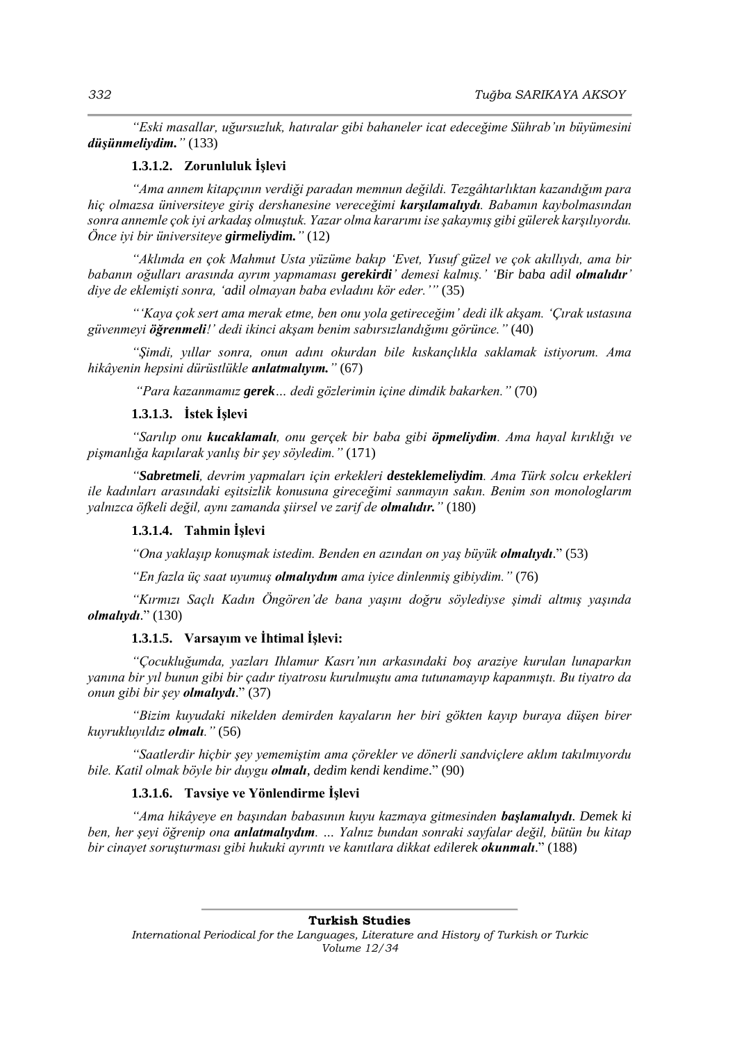*"Eski masallar, uğursuzluk, hatıralar gibi bahaneler icat edeceğime Sührab'ın büyümesini düşünmeliydim."* (133)

#### **1.3.1.2. Zorunluluk İşlevi**

*"Ama annem kitapçının verdiği paradan memnun değildi. Tezgâhtarlıktan kazandığım para hiç olmazsa üniversiteye giriş dershanesine vereceğimi karşılamalıydı. Babamın kaybolmasından sonra annemle çok iyi arkadaş olmuştuk. Yazar olma kararımı ise şakaymış gibi gülerek karşılıyordu. Önce iyi bir üniversiteye girmeliydim."* (12)

*"Aklımda en çok Mahmut Usta yüzüme bakıp 'Evet, Yusuf güzel ve çok akıllıydı, ama bir babanın oğulları arasında ayrım yapmaması gerekirdi' demesi kalmış.' 'Bir baba adil olmalıdır' diye de eklemişti sonra, 'adil olmayan baba evladını kör eder.'"* (35)

*"'Kaya çok sert ama merak etme, ben onu yola getireceğim' dedi ilk akşam. 'Çırak ustasına güvenmeyi öğrenmeli!' dedi ikinci akşam benim sabırsızlandığımı görünce."* (40)

*"Şimdi, yıllar sonra, onun adını okurdan bile kıskançlıkla saklamak istiyorum. Ama hikâyenin hepsini dürüstlükle anlatmalıyım."* (67)

*"Para kazanmamız gerek… dedi gözlerimin içine dimdik bakarken."* (70)

### **1.3.1.3. İstek İşlevi**

*"Sarılıp onu kucaklamalı, onu gerçek bir baba gibi öpmeliydim. Ama hayal kırıklığı ve pişmanlığa kapılarak yanlış bir şey söyledim."* (171)

*"Sabretmeli, devrim yapmaları için erkekleri desteklemeliydim. Ama Türk solcu erkekleri ile kadınları arasındaki eşitsizlik konusuna gireceğimi sanmayın sakın. Benim son monologlarım yalnızca öfkeli değil, aynı zamanda şiirsel ve zarif de olmalıdır."* (180)

#### **1.3.1.4. Tahmin İşlevi**

*"Ona yaklaşıp konuşmak istedim. Benden en azından on yaş büyük olmalıydı*." (53)

*"En fazla üç saat uyumuş olmalıydım ama iyice dinlenmiş gibiydim."* (76)

*"Kırmızı Saçlı Kadın Öngören'de bana yaşını doğru söylediyse şimdi altmış yaşında olmalıydı*." (130)

#### **1.3.1.5. Varsayım ve İhtimal İşlevi:**

*"Çocukluğumda, yazları Ihlamur Kasrı'nın arkasındaki boş araziye kurulan lunaparkın yanına bir yıl bunun gibi bir çadır tiyatrosu kurulmuştu ama tutunamayıp kapanmıştı. Bu tiyatro da onun gibi bir şey olmalıydı*." (37)

*"Bizim kuyudaki nikelden demirden kayaların her biri gökten kayıp buraya düşen birer kuyrukluyıldız olmalı."* (56)

*"Saatlerdir hiçbir şey yememiştim ama çörekler ve dönerli sandviçlere aklım takılmıyordu bile. Katil olmak böyle bir duygu olmalı, dedim kendi kendime*." (90)

#### **1.3.1.6. Tavsiye ve Yönlendirme İşlevi**

*"Ama hikâyeye en başından babasının kuyu kazmaya gitmesinden başlamalıydı. Demek ki ben, her şeyi öğrenip ona anlatmalıydım. … Yalnız bundan sonraki sayfalar değil, bütün bu kitap bir cinayet soruşturması gibi hukuki ayrıntı ve kanıtlara dikkat edilerek okunmalı*." (188)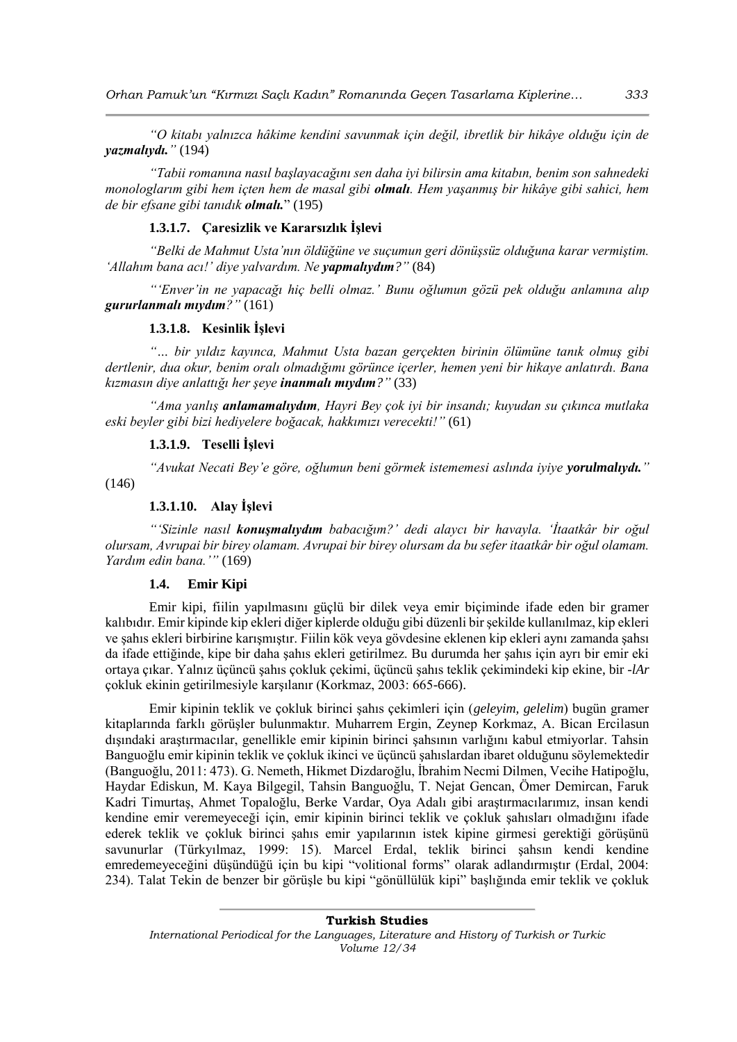*"O kitabı yalnızca hâkime kendini savunmak için değil, ibretlik bir hikâye olduğu için de yazmalıydı."* (194)

*"Tabii romanına nasıl başlayacağını sen daha iyi bilirsin ama kitabın, benim son sahnedeki monologlarım gibi hem içten hem de masal gibi olmalı. Hem yaşanmış bir hikâye gibi sahici, hem de bir efsane gibi tanıdık olmalı.*" (195)

#### **1.3.1.7. Çaresizlik ve Kararsızlık İşlevi**

*"Belki de Mahmut Usta'nın öldüğüne ve suçumun geri dönüşsüz olduğuna karar vermiştim. 'Allahım bana acı!' diye yalvardım. Ne yapmalıydım?"* (84)

*"'Enver'in ne yapacağı hiç belli olmaz.' Bunu oğlumun gözü pek olduğu anlamına alıp gururlanmalı mıydım?"* (161)

#### **1.3.1.8. Kesinlik İşlevi**

*"… bir yıldız kayınca, Mahmut Usta bazan gerçekten birinin ölümüne tanık olmuş gibi dertlenir, dua okur, benim oralı olmadığımı görünce içerler, hemen yeni bir hikaye anlatırdı. Bana kızmasın diye anlattığı her şeye inanmalı mıydım?"* (33)

*"Ama yanlış anlamamalıydım, Hayri Bey çok iyi bir insandı; kuyudan su çıkınca mutlaka eski beyler gibi bizi hediyelere boğacak, hakkımızı verecekti!"* (61)

#### **1.3.1.9. Teselli İşlevi**

*"Avukat Necati Bey'e göre, oğlumun beni görmek istememesi aslında iyiye yorulmalıydı."*

(146)

## **1.3.1.10. Alay İşlevi**

*"'Sizinle nasıl konuşmalıydım babacığım?' dedi alaycı bir havayla. 'İtaatkâr bir oğul olursam, Avrupai bir birey olamam. Avrupai bir birey olursam da bu sefer itaatkâr bir oğul olamam. Yardım edin bana.'"* (169)

#### **1.4. Emir Kipi**

Emir kipi, fiilin yapılmasını güçlü bir dilek veya emir biçiminde ifade eden bir gramer kalıbıdır. Emir kipinde kip ekleri diğer kiplerde olduğu gibi düzenli bir şekilde kullanılmaz, kip ekleri ve şahıs ekleri birbirine karışmıştır. Fiilin kök veya gövdesine eklenen kip ekleri aynı zamanda şahsı da ifade ettiğinde, kipe bir daha şahıs ekleri getirilmez. Bu durumda her şahıs için ayrı bir emir eki ortaya çıkar. Yalnız üçüncü şahıs çokluk çekimi, üçüncü şahıs teklik çekimindeki kip ekine, bir *-lAr* çokluk ekinin getirilmesiyle karşılanır (Korkmaz, 2003: 665-666).

Emir kipinin teklik ve çokluk birinci şahıs çekimleri için (*geleyim, gelelim*) bugün gramer kitaplarında farklı görüşler bulunmaktır. Muharrem Ergin, Zeynep Korkmaz, A. Bican Ercilasun dışındaki araştırmacılar, genellikle emir kipinin birinci şahsının varlığını kabul etmiyorlar. Tahsin Banguoğlu emir kipinin teklik ve çokluk ikinci ve üçüncü şahıslardan ibaret olduğunu söylemektedir (Banguoğlu, 2011: 473). G. Nemeth, Hikmet Dizdaroğlu, İbrahim Necmi Dilmen, Vecihe Hatipoğlu, Haydar Ediskun, M. Kaya Bilgegil, Tahsin Banguoğlu, T. Nejat Gencan, Ömer Demircan, Faruk Kadri Timurtaş, Ahmet Topaloğlu, Berke Vardar, Oya Adalı gibi araştırmacılarımız, insan kendi kendine emir veremeyeceği için, emir kipinin birinci teklik ve çokluk şahısları olmadığını ifade ederek teklik ve çokluk birinci şahıs emir yapılarının istek kipine girmesi gerektiği görüşünü savunurlar (Türkyılmaz, 1999: 15). Marcel Erdal, teklik birinci şahsın kendi kendine emredemeyeceğini düşündüğü için bu kipi "volitional forms" olarak adlandırmıştır (Erdal, 2004: 234). Talat Tekin de benzer bir görüşle bu kipi "gönüllülük kipi" başlığında emir teklik ve çokluk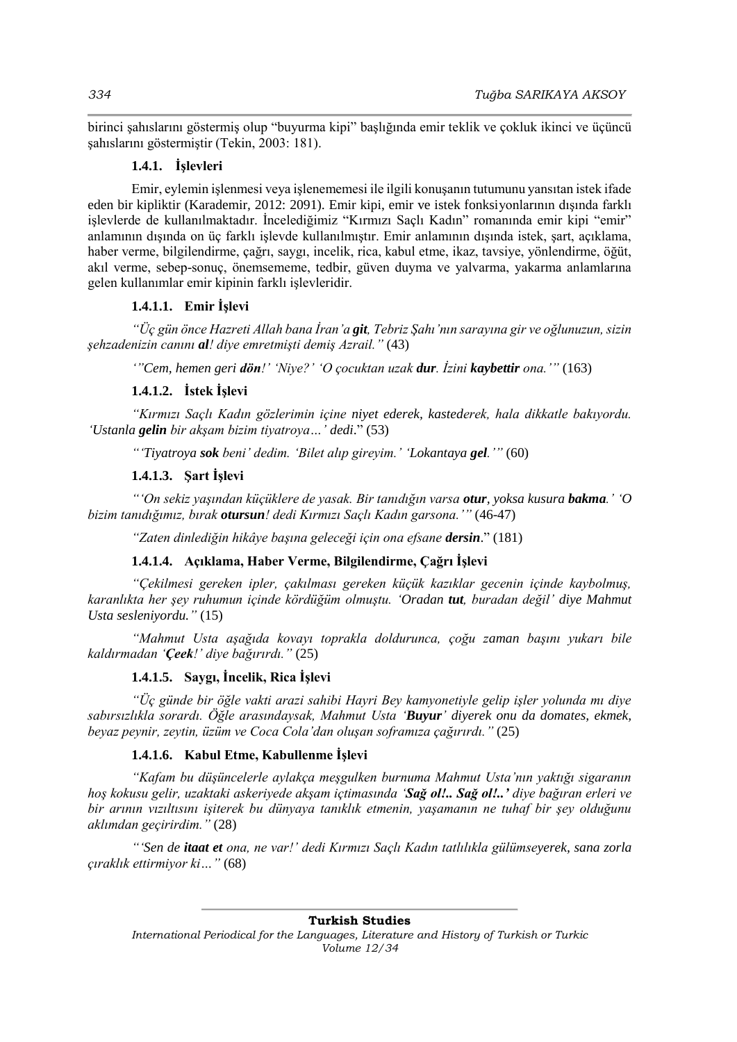birinci şahıslarını göstermiş olup "buyurma kipi" başlığında emir teklik ve çokluk ikinci ve üçüncü şahıslarını göstermiştir (Tekin, 2003: 181).

#### **1.4.1. İşlevleri**

Emir, eylemin işlenmesi veya işlenememesi ile ilgili konuşanın tutumunu yansıtan istek ifade eden bir kipliktir (Karademir, 2012: 2091). Emir kipi, emir ve istek fonksiyonlarının dışında farklı işlevlerde de kullanılmaktadır. İncelediğimiz "Kırmızı Saçlı Kadın" romanında emir kipi "emir" anlamının dışında on üç farklı işlevde kullanılmıştır. Emir anlamının dışında istek, şart, açıklama, haber verme, bilgilendirme, çağrı, saygı, incelik, rica, kabul etme, ikaz, tavsiye, yönlendirme, öğüt, akıl verme, sebep-sonuç, önemsememe, tedbir, güven duyma ve yalvarma, yakarma anlamlarına gelen kullanımlar emir kipinin farklı işlevleridir.

### **1.4.1.1. Emir İşlevi**

*"Üç gün önce Hazreti Allah bana İran'a git, Tebriz Şahı'nın sarayına gir ve oğlunuzun, sizin şehzadenizin canını al! diye emretmişti demiş Azrail."* (43)

*'"Cem, hemen geri dön!' 'Niye?' 'O çocuktan uzak dur. İzini kaybettir ona.'"* (163)

#### **1.4.1.2. İstek İşlevi**

*"Kırmızı Saçlı Kadın gözlerimin içine niyet ederek, kastederek, hala dikkatle bakıyordu. 'Ustanla gelin bir akşam bizim tiyatroya…' dedi*." (53)

*"'Tiyatroya sok beni' dedim. 'Bilet alıp gireyim.' 'Lokantaya gel.'"* (60)

#### **1.4.1.3. Şart İşlevi**

*"'On sekiz yaşından küçüklere de yasak. Bir tanıdığın varsa otur, yoksa kusura bakma.' 'O bizim tanıdığımız, bırak otursun! dedi Kırmızı Saçlı Kadın garsona.'"* (46-47)

*"Zaten dinlediğin hikâye başına geleceği için ona efsane dersin*." (181)

#### **1.4.1.4. Açıklama, Haber Verme, Bilgilendirme, Çağrı İşlevi**

*"Çekilmesi gereken ipler, çakılması gereken küçük kazıklar gecenin içinde kaybolmuş, karanlıkta her şey ruhumun içinde kördüğüm olmuştu. 'Oradan tut, buradan değil' diye Mahmut Usta sesleniyordu."* (15)

*"Mahmut Usta aşağıda kovayı toprakla doldurunca, çoğu zaman başını yukarı bile kaldırmadan 'Çeek!' diye bağırırdı."* (25)

## **1.4.1.5. Saygı, İncelik, Rica İşlevi**

*"Üç günde bir öğle vakti arazi sahibi Hayri Bey kamyonetiyle gelip işler yolunda mı diye sabırsızlıkla sorardı. Öğle arasındaysak, Mahmut Usta 'Buyur' diyerek onu da domates, ekmek, beyaz peynir, zeytin, üzüm ve Coca Cola'dan oluşan soframıza çağırırdı."* (25)

#### **1.4.1.6. Kabul Etme, Kabullenme İşlevi**

*"Kafam bu düşüncelerle aylakça meşgulken burnuma Mahmut Usta'nın yaktığı sigaranın hoş kokusu gelir, uzaktaki askeriyede akşam içtimasında 'Sağ ol!.. Sağ ol!..' diye bağıran erleri ve bir arının vızıltısını işiterek bu dünyaya tanıklık etmenin, yaşamanın ne tuhaf bir şey olduğunu aklımdan geçirirdim."* (28)

*"'Sen de itaat et ona, ne var!' dedi Kırmızı Saçlı Kadın tatlılıkla gülümseyerek, sana zorla çıraklık ettirmiyor ki…"* (68)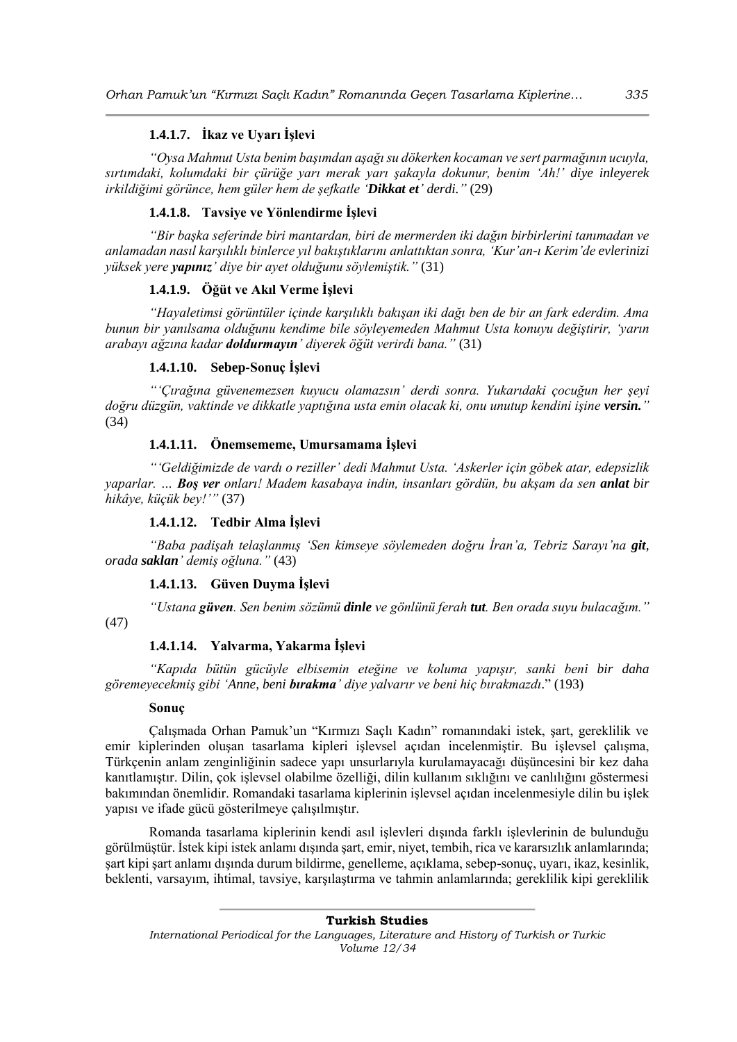## **1.4.1.7. İkaz ve Uyarı İşlevi**

*"Oysa Mahmut Usta benim başımdan aşağı su dökerken kocaman ve sert parmağının ucuyla, sırtımdaki, kolumdaki bir çürüğe yarı merak yarı şakayla dokunur, benim 'Ah!' diye inleyerek irkildiğimi görünce, hem güler hem de şefkatle 'Dikkat et' derdi."* (29)

## **1.4.1.8. Tavsiye ve Yönlendirme İşlevi**

*"Bir başka seferinde biri mantardan, biri de mermerden iki dağın birbirlerini tanımadan ve anlamadan nasıl karşılıklı binlerce yıl bakıştıklarını anlattıktan sonra, 'Kur'an-ı Kerim'de evlerinizi yüksek yere yapınız' diye bir ayet olduğunu söylemiştik."* (31)

### **1.4.1.9. Öğüt ve Akıl Verme İşlevi**

*"Hayaletimsi görüntüler içinde karşılıklı bakışan iki dağı ben de bir an fark ederdim. Ama bunun bir yanılsama olduğunu kendime bile söyleyemeden Mahmut Usta konuyu değiştirir, 'yarın arabayı ağzına kadar doldurmayın' diyerek öğüt verirdi bana."* (31)

## **1.4.1.10. Sebep-Sonuç İşlevi**

*"'Çırağına güvenemezsen kuyucu olamazsın' derdi sonra. Yukarıdaki çocuğun her şeyi doğru düzgün, vaktinde ve dikkatle yaptığına usta emin olacak ki, onu unutup kendini işine versin."* (34)

## **1.4.1.11. Önemsememe, Umursamama İşlevi**

*"'Geldiğimizde de vardı o reziller' dedi Mahmut Usta. 'Askerler için göbek atar, edepsizlik yaparlar. … Boş ver onları! Madem kasabaya indin, insanları gördün, bu akşam da sen anlat bir hikâye, küçük bey!'"* (37)

## **1.4.1.12. Tedbir Alma İşlevi**

*"Baba padişah telaşlanmış 'Sen kimseye söylemeden doğru İran'a, Tebriz Sarayı'na git, orada saklan' demiş oğluna."* (43)

#### **1.4.1.13. Güven Duyma İşlevi**

*"Ustana güven. Sen benim sözümü dinle ve gönlünü ferah tut. Ben orada suyu bulacağım."*  (47)

## **1.4.1.14. Yalvarma, Yakarma İşlevi**

*"Kapıda bütün gücüyle elbisemin eteğine ve koluma yapışır, sanki beni bir daha göremeyecekmiş gibi 'Anne, beni bırakma' diye yalvarır ve beni hiç bırakmazdı*." (193)

#### **Sonuç**

Çalışmada Orhan Pamuk'un "Kırmızı Saçlı Kadın" romanındaki istek, şart, gereklilik ve emir kiplerinden oluşan tasarlama kipleri işlevsel açıdan incelenmiştir. Bu işlevsel çalışma, Türkçenin anlam zenginliğinin sadece yapı unsurlarıyla kurulamayacağı düşüncesini bir kez daha kanıtlamıştır. Dilin, çok işlevsel olabilme özelliği, dilin kullanım sıklığını ve canlılığını göstermesi bakımından önemlidir. Romandaki tasarlama kiplerinin işlevsel açıdan incelenmesiyle dilin bu işlek yapısı ve ifade gücü gösterilmeye çalışılmıştır.

Romanda tasarlama kiplerinin kendi asıl işlevleri dışında farklı işlevlerinin de bulunduğu görülmüştür. İstek kipi istek anlamı dışında şart, emir, niyet, tembih, rica ve kararsızlık anlamlarında; şart kipi şart anlamı dışında durum bildirme, genelleme, açıklama, sebep-sonuç, uyarı, ikaz, kesinlik, beklenti, varsayım, ihtimal, tavsiye, karşılaştırma ve tahmin anlamlarında; gereklilik kipi gereklilik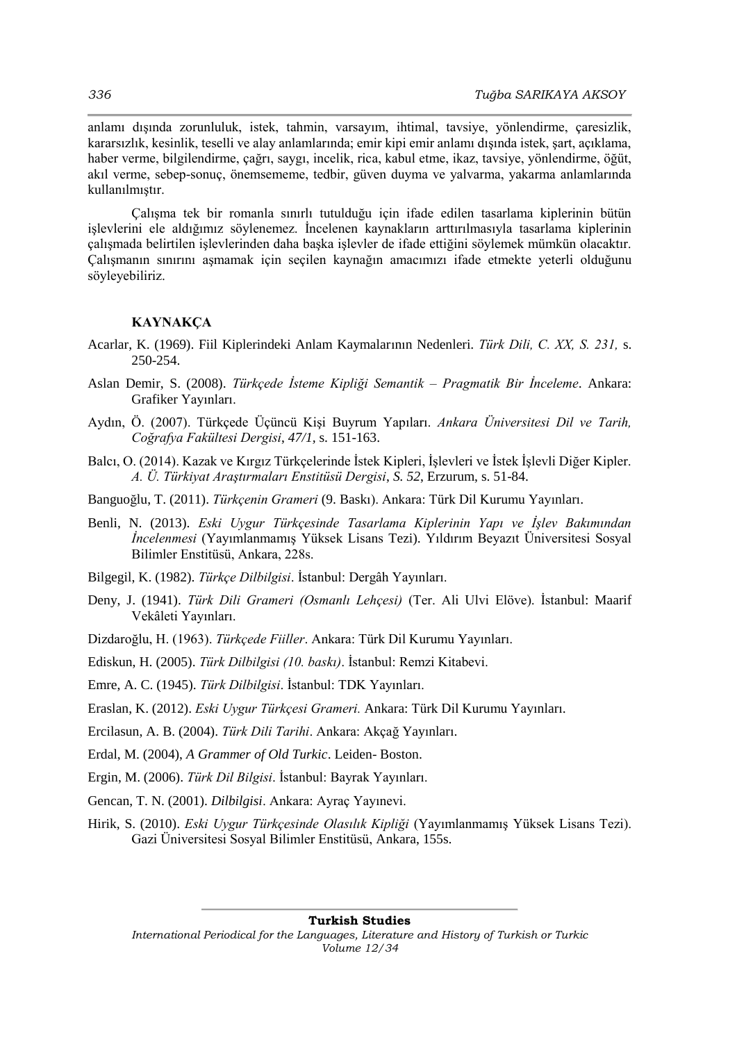anlamı dışında zorunluluk, istek, tahmin, varsayım, ihtimal, tavsiye, yönlendirme, çaresizlik, kararsızlık, kesinlik, teselli ve alay anlamlarında; emir kipi emir anlamı dışında istek, şart, açıklama, haber verme, bilgilendirme, çağrı, saygı, incelik, rica, kabul etme, ikaz, tavsiye, yönlendirme, öğüt, akıl verme, sebep-sonuç, önemsememe, tedbir, güven duyma ve yalvarma, yakarma anlamlarında kullanılmıştır.

Çalışma tek bir romanla sınırlı tutulduğu için ifade edilen tasarlama kiplerinin bütün işlevlerini ele aldığımız söylenemez. İncelenen kaynakların arttırılmasıyla tasarlama kiplerinin çalışmada belirtilen işlevlerinden daha başka işlevler de ifade ettiğini söylemek mümkün olacaktır. Çalışmanın sınırını aşmamak için seçilen kaynağın amacımızı ifade etmekte yeterli olduğunu söyleyebiliriz.

#### **KAYNAKÇA**

- Acarlar, K. (1969). Fiil Kiplerindeki Anlam Kaymalarının Nedenleri. *Türk Dili, C. XX, S. 231,* s. 250-254.
- Aslan Demir, S. (2008). *Türkçede İsteme Kipliği Semantik – Pragmatik Bir İnceleme*. Ankara: Grafiker Yayınları.
- Aydın, Ö. (2007). Türkçede Üçüncü Kişi Buyrum Yapıları. *Ankara Üniversitesi Dil ve Tarih, Coğrafya Fakültesi Dergisi*, *47/1,* s. 151-163.
- Balcı, O. (2014). Kazak ve Kırgız Türkçelerinde İstek Kipleri, İşlevleri ve İstek İşlevli Diğer Kipler. *A. Ü. Türkiyat Araştırmaları Enstitüsü Dergisi*, *S. 52*, Erzurum, s. 51-84.
- Banguoğlu, T. (2011). *Türkçenin Grameri* (9. Baskı). Ankara: Türk Dil Kurumu Yayınları.
- Benli, N. (2013). *Eski Uygur Türkçesinde Tasarlama Kiplerinin Yapı ve İşlev Bakımından İncelenmesi* (Yayımlanmamış Yüksek Lisans Tezi). Yıldırım Beyazıt Üniversitesi Sosyal Bilimler Enstitüsü, Ankara, 228s.
- Bilgegil, K. (1982). *Türkçe Dilbilgisi*. İstanbul: Dergâh Yayınları.
- Deny, J. (1941). *Türk Dili Grameri (Osmanlı Lehçesi)* (Ter. Ali Ulvi Elöve). İstanbul: Maarif Vekâleti Yayınları.
- Dizdaroğlu, H. (1963). *Türkçede Fiiller*. Ankara: Türk Dil Kurumu Yayınları.
- Ediskun, H. (2005). *Türk Dilbilgisi (10. baskı)*. İstanbul: Remzi Kitabevi.
- Emre, A. C. (1945). *Türk Dilbilgisi*. İstanbul: TDK Yayınları.
- Eraslan, K. (2012). *Eski Uygur Türkçesi Grameri.* Ankara: Türk Dil Kurumu Yayınları.
- Ercilasun, A. B. (2004). *Türk Dili Tarihi*. Ankara: Akçağ Yayınları.
- Erdal, M. (2004), *A Grammer of Old Turkic*. Leiden- Boston.
- Ergin, M. (2006). *Türk Dil Bilgisi*. İstanbul: Bayrak Yayınları.
- Gencan, T. N. (2001). *Dilbilgisi*. Ankara: Ayraç Yayınevi.
- Hirik, S. (2010). *Eski Uygur Türkçesinde Olasılık Kipliği* (Yayımlanmamış Yüksek Lisans Tezi). Gazi Üniversitesi Sosyal Bilimler Enstitüsü, Ankara, 155s.

#### **Turkish Studies**

*International Periodical for the Languages, Literature and History of Turkish or Turkic Volume 12/34*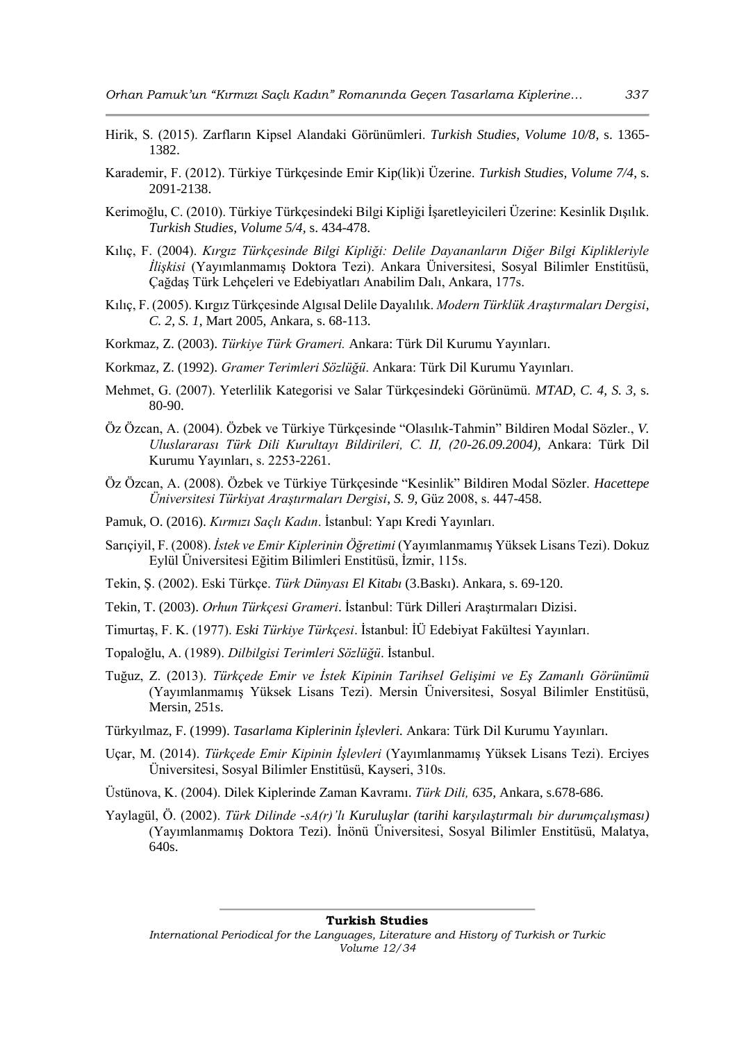- Hirik, S. (2015). Zarfların Kipsel Alandaki Görünümleri. *Turkish Studies, Volume 10/8*, s. 1365- 1382.
- Karademir, F. (2012). Türkiye Türkçesinde Emir Kip(lik)i Üzerine. *Turkish Studies, Volume 7/4*, s. 2091-2138.
- Kerimoğlu, C. (2010). Türkiye Türkçesindeki Bilgi Kipliği İşaretleyicileri Üzerine: Kesinlik Dışılık. *Turkish Studies*, *Volume 5/4,* s. 434-478.
- Kılıç, F. (2004). *Kırgız Türkçesinde Bilgi Kipliği: Delile Dayananların Diğer Bilgi Kiplikleriyle İlişkisi* (Yayımlanmamış Doktora Tezi). Ankara Üniversitesi, Sosyal Bilimler Enstitüsü, Çağdaş Türk Lehçeleri ve Edebiyatları Anabilim Dalı, Ankara, 177s.
- Kılıç, F. (2005). Kırgız Türkçesinde Algısal Delile Dayalılık. *Modern Türklük Araştırmaları Dergisi*, *C. 2, S. 1*, Mart 2005, Ankara, s. 68-113.
- Korkmaz, Z. (2003). *Türkiye Türk Grameri.* Ankara: Türk Dil Kurumu Yayınları.
- Korkmaz, Z. (1992). *Gramer Terimleri Sözlüğü*. Ankara: Türk Dil Kurumu Yayınları.
- Mehmet, G. (2007). Yeterlilik Kategorisi ve Salar Türkçesindeki Görünümü. *MTAD*, *C. 4, S. 3,* s. 80-90.
- Öz Özcan, A. (2004). Özbek ve Türkiye Türkçesinde "Olasılık-Tahmin" Bildiren Modal Sözler., *V. Uluslararası Türk Dili Kurultayı Bildirileri, C. II, (20-26.09.2004),* Ankara: Türk Dil Kurumu Yayınları, s. 2253-2261.
- Öz Özcan, A. (2008). Özbek ve Türkiye Türkçesinde "Kesinlik" Bildiren Modal Sözler. *Hacettepe Üniversitesi Türkiyat Araştırmaları Dergisi*, *S. 9,* Güz 2008, s. 447-458.
- Pamuk, O. (2016). *Kırmızı Saçlı Kadın*. İstanbul: Yapı Kredi Yayınları.
- Sarıçiyil, F. (2008). *İstek ve Emir Kiplerinin Öğretimi* (Yayımlanmamış Yüksek Lisans Tezi). Dokuz Eylül Üniversitesi Eğitim Bilimleri Enstitüsü, İzmir, 115s.
- Tekin, Ş. (2002). Eski Türkçe. *Türk Dünyası El Kitabı* (3.Baskı). Ankara, s. 69-120.
- Tekin, T. (2003). *Orhun Türkçesi Grameri*. İstanbul: Türk Dilleri Araştırmaları Dizisi.
- Timurtaş, F. K. (1977). *Eski Türkiye Türkçesi*. İstanbul: İÜ Edebiyat Fakültesi Yayınları.
- Topaloğlu, A. (1989). *Dilbilgisi Terimleri Sözlüğü*. İstanbul.
- Tuğuz, Z. (2013). *Türkçede Emir ve İstek Kipinin Tarihsel Gelişimi ve Eş Zamanlı Görünümü*  (Yayımlanmamış Yüksek Lisans Tezi). Mersin Üniversitesi, Sosyal Bilimler Enstitüsü, Mersin, 251s.
- Türkyılmaz, F. (1999). *Tasarlama Kiplerinin İşlevleri.* Ankara: Türk Dil Kurumu Yayınları.
- Uçar, M. (2014). *Türkçede Emir Kipinin İşlevleri* (Yayımlanmamış Yüksek Lisans Tezi). Erciyes Üniversitesi, Sosyal Bilimler Enstitüsü, Kayseri, 310s.
- Üstünova, K. (2004). Dilek Kiplerinde Zaman Kavramı. *Türk Dili, 635,* Ankara, s.678-686.
- Yaylagül, Ö. (2002). *Türk Dilinde -sA(r)'lı Kuruluşlar (tarihi karşılaştırmalı bir durumçalışması)*  (Yayımlanmamış Doktora Tezi). İnönü Üniversitesi, Sosyal Bilimler Enstitüsü, Malatya, 640s.

#### **Turkish Studies**

*International Periodical for the Languages, Literature and History of Turkish or Turkic Volume 12/34*